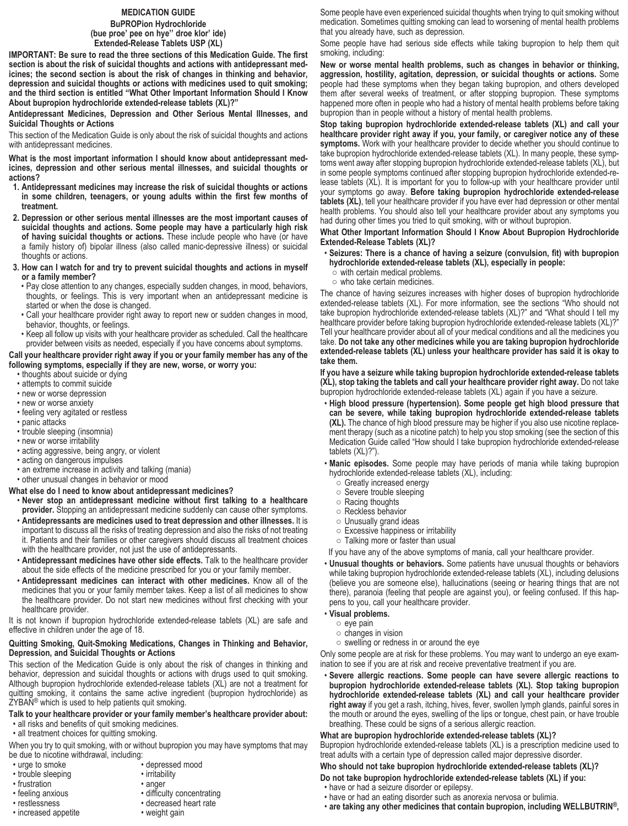## **MEDICATION GUIDE**

#### **BuPROPion Hydrochloride (bue proe' pee on hye'' droe klor' ide) Extended-Release Tablets USP (XL)**

**IMPORTANT: Be sure to read the three sections of this Medication Guide. The first section is about the risk of suicidal thoughts and actions with antidepressant medicines; the second section is about the risk of changes in thinking and behavior, depression and suicidal thoughts or actions with medicines used to quit smoking; and the third section is entitled "What Other Important Information Should I Know About bupropion hydrochloride extended-release tablets (XL)?"**

**Antidepressant Medicines, Depression and Other Serious Mental Illnesses, and Suicidal Thoughts or Actions**

This section of the Medication Guide is only about the risk of suicidal thoughts and actions with antidepressant medicines.

**What is the most important information I should know about antidepressant medicines, depression and other serious mental illnesses, and suicidal thoughts or actions?**

- **1. Antidepressant medicines may increase the risk of suicidal thoughts or actions in some children, teenagers, or young adults within the first few months of treatment.**
- **2. Depression or other serious mental illnesses are the most important causes of suicidal thoughts and actions. Some people may have a particularly high risk of having suicidal thoughts or actions.** These include people who have (or have a family history of) bipolar illness (also called manic-depressive illness) or suicidal thoughts or actions.
- **3. How can I watch for and try to prevent suicidal thoughts and actions in myself or a family member?**
	- Pay close attention to any changes, especially sudden changes, in mood, behaviors, thoughts, or feelings. This is very important when an antidepressant medicine is started or when the dose is changed.
	- Call your healthcare provider right away to report new or sudden changes in mood, behavior, thoughts, or feelings.
- Keep all follow up visits with your healthcare provider as scheduled. Call the healthcare provider between visits as needed, especially if you have concerns about symptoms.

**Call your healthcare provider right away if you or your family member has any of the following symptoms, especially if they are new, worse, or worry you:**

- thoughts about suicide or dying
- attempts to commit suicide
- new or worse depression
- new or worse anxiety
- feeling very agitated or restless
- panic attacks
- trouble sleeping (insomnia)
- new or worse irritability
- acting aggressive, being angry, or violent
- acting on dangerous impulses
- an extreme increase in activity and talking (mania)
- other unusual changes in behavior or mood
- **What else do I need to know about antidepressant medicines?**
- **Never stop an antidepressant medicine without first talking to a healthcare provider.** Stopping an antidepressant medicine suddenly can cause other symptoms.
- **Antidepressants are medicines used to treat depression and other illnesses.** It is important to discuss all the risks of treating depression and also the risks of not treating it. Patients and their families or other caregivers should discuss all treatment choices with the healthcare provider, not just the use of antidepressants.
- **Antidepressant medicines have other side effects.** Talk to the healthcare provider about the side effects of the medicine prescribed for you or your family member.
- **Antidepressant medicines can interact with other medicines.** Know all of the medicines that you or your family member takes. Keep a list of all medicines to show the healthcare provider. Do not start new medicines without first checking with your healthcare provider.

It is not known if bupropion hydrochloride extended-release tablets (XL) are safe and effective in children under the age of 18.

# **Quitting Smoking, Quit-Smoking Medications, Changes in Thinking and Behavior, Depression, and Suicidal Thoughts or Actions**

This section of the Medication Guide is only about the risk of changes in thinking and behavior, depression and suicidal thoughts or actions with drugs used to quit smoking. Although bupropion hydrochloride extended-release tablets (XL) are not a treatment for quitting smoking, it contains the same active ingredient (bupropion hydrochloride) as  $ZYBA\bar{N}^{\circledast}$  which is used to help patients quit smoking.

# **Talk to your healthcare provider or your family member's healthcare provider about:**

- all risks and benefits of quit smoking medicines.
- all treatment choices for quitting smoking.

When you try to quit smoking, with or without bupropion you may have symptoms that may be due to nicotine withdrawal, including:

- 
- trouble sleeping
- 
- frustration anger
- 
- 
- $•$  increased appetite
- urge to smoke depressed mood<br>• trouble sleeping irritability
	-
	- - difficulty concentrating
- restlessness decreased heart rate
	-

Some people have even experienced suicidal thoughts when trying to quit smoking without medication. Sometimes quitting smoking can lead to worsening of mental health problems that you already have, such as depression.

Some people have had serious side effects while taking bupropion to help them quit smoking, including:

**New or worse mental health problems, such as changes in behavior or thinking, aggression, hostility, agitation, depression, or suicidal thoughts or actions.** Some people had these symptoms when they began taking bupropion, and others developed them after several weeks of treatment, or after stopping bupropion. These symptoms happened more often in people who had a history of mental health problems before taking bupropion than in people without a history of mental health problems.

**Stop taking bupropion hydrochloride extended-release tablets (XL) and call your healthcare provider right away if you, your family, or caregiver notice any of these symptoms.** Work with your healthcare provider to decide whether you should continue to take bupropion hydrochloride extended-release tablets (XL). In many people, these symptoms went away after stopping bupropion hydrochloride extended-release tablets (XL), but in some people symptoms continued after stopping bupropion hydrochloride extended-release tablets (XL). It is important for you to follow-up with your healthcare provider until your symptoms go away. **Before taking bupropion hydrochloride extended-release tablets (XL)**, tell your healthcare provider if you have ever had depression or other mental health problems. You should also tell your healthcare provider about any symptoms you had during other times you tried to quit smoking, with or without bupropion.

#### **What Other Important Information Should I Know About Bupropion Hydrochloride Extended-Release Tablets (XL)?**

- **Seizures: There is a chance of having a seizure (convulsion, fit) with bupropion hydrochloride extended-release tablets (XL), especially in people:**
	- with certain medical problems. ○ who take certain medicines.

The chance of having seizures increases with higher doses of bupropion hydrochloride extended-release tablets (XL). For more information, see the sections "Who should not take bupropion hydrochloride extended-release tablets (XL)?" and "What should I tell my healthcare provider before taking bupropion hydrochloride extended-release tablets (XL)?" Tell your healthcare provider about all of your medical conditions and all the medicines you take. **Do not take any other medicines while you are taking bupropion hydrochloride extended-release tablets (XL) unless your healthcare provider has said it is okay to take them.**

**If you have a seizure while taking bupropion hydrochloride extended-release tablets (XL), stop taking the tablets and call your healthcare provider right away.** Do not take bupropion hydrochloride extended-release tablets (XL) again if you have a seizure.

• **High blood pressure (hypertension). Some people get high blood pressure that can be severe, while taking bupropion hydrochloride extended-release tablets (XL).** The chance of high blood pressure may be higher if you also use nicotine replacement therapy (such as a nicotine patch) to help you stop smoking (see the section of this Medication Guide called "How should I take bupropion hydrochloride extended-release tablets (XL)?").

• **Manic episodes.** Some people may have periods of mania while taking bupropion hydrochloride extended-release tablets (XL), including:

- Greatly increased energy
- Severe trouble sleeping
- Racing thoughts
- Reckless behavior
- Unusually grand ideas
- Excessive happiness or irritability
- Talking more or faster than usual
- If you have any of the above symptoms of mania, call your healthcare provider.
- **Unusual thoughts or behaviors.** Some patients have unusual thoughts or behaviors while taking bupropion hydrochloride extended-release tablets (XL), including delusions (believe you are someone else), hallucinations (seeing or hearing things that are not there), paranoia (feeling that people are against you), or feeling confused. If this happens to you, call your healthcare provider.
- **Visual problems.**
	- eye pain
	- changes in vision
	- swelling or redness in or around the eye

Only some people are at risk for these problems. You may want to undergo an eye examination to see if you are at risk and receive preventative treatment if you are.

• **Severe allergic reactions. Some people can have severe allergic reactions to bupropion hydrochloride extended-release tablets (XL). Stop taking bupropion hydrochloride extended-release tablets (XL) and call your healthcare provider right away** if you get a rash, itching, hives, fever, swollen lymph glands, painful sores in the mouth or around the eyes, swelling of the lips or tongue, chest pain, or have trouble breathing. These could be signs of a serious allergic reaction.

## **What are bupropion hydrochloride extended-release tablets (XL)?**

Bupropion hydrochloride extended-release tablets (XL) is a prescription medicine used to treat adults with a certain type of depression called major depressive disorder.

## **Who should not take bupropion hydrochloride extended-release tablets (XL)?**

**Do not take bupropion hydrochloride extended-release tablets (XL) if you:**

- have or had a seizure disorder or epilepsy.
- have or had an eating disorder such as anorexia nervosa or bulimia.
- **are taking any other medicines that contain bupropion, including WELLBUTRIN®,**